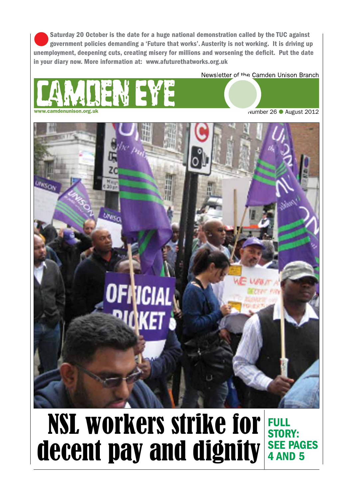Saturday 20 October is the date for a huge national demonstration called by the TUC against government policies demanding a 'Future that works'. Austerity is not working. It is driving up unemployment, deepening cuts, creating misery for millions and worsening the deficit. Put the date in your diary now. More information at: www.afuturethatworks.org.uk

Newsletter of the Camden Unison Branch



wumber 26 ● August 2012



## NSL workers strike for decent pay and dignity **SEE PAGES** Full story: 4 and 5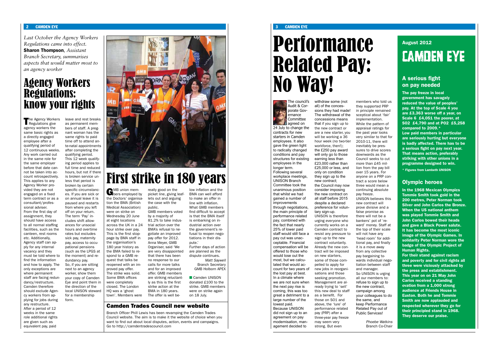#### 2 CAMDEN EYE 3 CAMDEN EYE

## August 2012 CAMDEN EYE

#### A serious fight on pay needed

The pay freeze in local government has savagely reduced the value of peoples' pay. At the top of Scale 4 you are £3,363 worse off a year, on Scale 6 £4,051 the poorer, at SO2 £4,790 and at PO2 £5,258 compared to 2009.\* Low paid members in particular are seriously hurting but everyone is badly affected. There has to be

a serious fight on pay next year. That means action, preferably striking with other unions in a programme designed to win.

For their stand against racism and poverty and for civil rights all three were viciously attacked by the press and establishment. This year on on 21 May John Carlos received a standing ovation from a 1,000 strong audience at Friends House in Euston. Both he and Tommie Smith are now applauded and respected wherever they go for their principled stand in 1968. They deserve our praise.

\* Figures from Lambeth UNISON

#### Olympic heroes

In the 1968 Mexican Olympics Tommie Smith took gold in the 200 metres, Peter Norman took Silver and John Carlos the Bronze. When the US national anthem was played Tommie Smith and John Carlos bowed their heads and gave a Black Power salute. It has become the most iconic image of the Olympic Games. In solidarity Peter Norman wore the badge of the Olympic Project of Human Rights.

The council's Audit & Corporate Governance Committee agreed on 24 July to change the contracts for new starters in Camden employees. It also gave the green light to radically changed conditions and pay structures for existing employees in the longer term. Following several workplace meetings, UNISON Branch Committee took the unanimous position that whilst we had gained a number of improvements through negotiations, the main principle of performance related pay, combined with the fact that nearly 25% of lower paid staff would still face a pay cut was unacceptable. Financial compensation will be offered to those who would lose out the most, but we calculated that would account for two years of the lost pay at best. In a climate where we are not sure when the next pay rise is coming, this was too great a detriment to a large number of the lowest paid. Because UNISON did not sign up to an agreement on pay modernisation, management decided to

Regulations give agency workers the same basic rights as a directly engaged employee after a qualifying period of 12 continuous weeks. Any work carried out in the same role for the same employer before that date cannot be taken into account retrospectively. This applies to any Agency Worker provided they are not engaged on a fixed term contract or as a consultant/professional adviser. From the first day of assignment, they should have access to all normal staffing facilities, such as the canteen, rest rooms etc. Additionally, Agency staff can apply for any internal vacancy and they must be told where to find the information and how to apply. The only exceptions are where permanent staff are facing redundancy/restructure. Camden therefore should exclude Agency workers from applying for jobs during any restructure. After a period of 12 weeks in the same role additional rights are given such as equivalent pay, paid

withdraw some (not all) of the concessions they had made! The withdrawal of the concessions means that if you sign up to the new contract or are a new starter, you will be working a 36 hour week (no two-tier workforce, then!); the £250 pay award will only go to those earning less than £23,000 rather than £25,000 or less, and only on condition they sign up to the new contract; the Council may now consider imposing the new contract on all staff before 2015 despite a declared preference for voluntary sign-up. UNISON is therefore urging everyone who currently works on a Camden contract to resist any pressure to sign up to the new contract voluntarily. Already the new contract will be imposed on new starters, some of those compelled to apply for new jobs in reorganisations and those seeking promotion. Management are already trying to 'sell' this new deal to staff as a benefit. For those on SO1 and above, the 'lure' of performance related pay (PRP) after a three-year pay freeze may seem very strong. But even

The Agency Workers leave and rest breaks<br>Regulations give as permanent memas permanent members of staff. A pregnant woman has the same rights to paid time off to attend ante-natal appointments after completing the qualifying period. This 12 week qualifying period applies to full time and reduced hours, but not if there is broken service unless that period is broken by certain specific circumstances. If you are sick or on annual leave it is paused and restarts from where you left off on your return. The term 'Pay' includes shift allowances for unsocial hours and overtime rates but excludes sick pay, maternity pay, access to occupational pensions (such as the LPGS at the moment) and redundancy pay. So, if you are sitting next to an agency worker, show them your copy of Camden Eye and point them in the direction of the local UNISON steward for a membership form.



**GMB** union mem-<br>bers employed by the Doctors' organisation the BMA (British Medical Association) were on strike on Wednesday 20 June at eight locations across the UK in a 24 hour strike over pay. This is the first stoppage by BMA staff in the organisation's 180 year history as the BMA failed to respond to a GMB request that talks be reopened with an improved pay offer. The strike was solid. Some BMA offices were completely closed. The London HQ was a 'ghost town'. Members were

members who told us they supported PRP in principle remained sceptical about 'fair' implementation. While the pattern of appraisal ratings for the past year looks very similar to that for 2010-11, there will inevitably be pressures to drive scores downwards as the Council seeks to cut more than £45 million from the pay bill over 15 years. For anyone on a PRP contract a score below three would mean a continuing absolute

pay freeze.

GMB Holborn APEX **Camden UNISON** 

UNISON believes this new contract will prove divisive and a false promise as there will not be a bankers' pot of 'reward' money. Staff at the top of their scale will not have any 'head room' for additional pay, and finally it is a move away from any collective pay bargaining towards individual negotiation between staff and manager. So UNISON is urging all our members to: refuse to sign up to the new contract, campaign among your colleagues to do

the same, and keep Performance Related Pay out of Public Services!

*Phoebe Watkins* Branch Co-Chair

## Agency Workers Regulations: know your rights

*Last October the Agency Workers Regulations came into effect.*  Sharon Thompson*, Assistant Branch Secretary, summarises aspects that would matter most to an agency worker*

#### Camden Trades Council new website

Branch Officer Phill Lewis has been revamping the Camden Trades Council website. The aim is to make it the website of choice when you want to find out about local disputes, action, events and campaigns. Go to http://camdentradescouncil.com

really good on the picket line, giving leaflets out and arguing the case with the public.

GMB members voted by a majority of 81.2% to take industrial action over the BMA's refusal to negotiate an improved pay offer for 2012. Anna Meyer, GMB Organiser, said 'We are very disappointed that there has been no response to our calls for more talks and for an improved offer. GMB members are striking reluctantly as this is the first strike action at the BMA in 180 years. The offer is well be-

low inflation and the

BMA can well afford to make an offer in line with inflation. What GMB members find difficult to accept is that the BMA itself is embarking on industrial action over the government's refusal to reopen negotiations in their dispute.' Further days of action are planned as the dispute continues.

*Matt Saywell* Branch Secretary

donated £100 to the strike. GMB members were on strike again on 18 July.

## First strike in 180 years

# Performance Related Pay: No Way!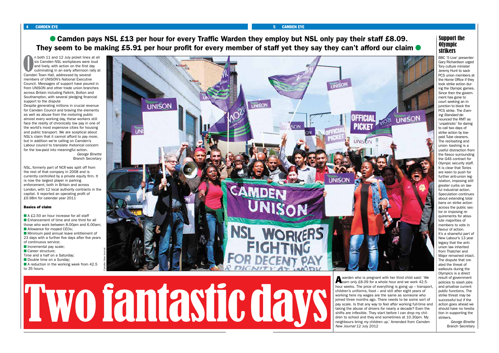#### 4 CAMDEN EYE 5 CAMDEN EYE

● Camden pays NSL £13 per hour for every Traffic Warden they employ but NSL only pay their staff £8.09. They seem to be making £5.91 per hour profit for every member of staff yet they say they can't afford our claim

n both 11 and 12 July picket lines and six Camden NSL workplaces were land lively, with action on the first day culminating in an early afternoon radium Town Hall, addressed by several n both 11 and 12 July picket lines at all six Camden NSL workplaces were loud and lively, with action on the first day culminating in an early afternoon rally at members of UNISON's National Executive Council. Messages of support have poured in from UNISON and other trade union branches across Britain including Falkirk, Bolton and Southampton, with several pledging financial support to the dispute

Despite generating millions in crucial revenue for Camden Council and braving the elements as well as abuse from the motoring public almost every working day, these workers still face the reality of chronically low pay in one of the world's most expensive cities for housing and public transport. We are sceptical about NSL's claim that it cannot afford to pay more, but in addition we're calling on Camden's Labour council to translate rhetorical concern for the low-paid into meaningful action. *George Binette*

- **A £2.50 an hour increase for all staff n** Enhancement of time and one third for all those who work between 8.00pm and 6.00am; **n** Allowance for moped CEOs; **n** Minimum paid annual leave entitlement of 23 days with a further five days after five years
- of continuous service;
- $\blacksquare$  Incremental pay scale;
- **n** Career structure;
- Time and a half on a Saturday;
- Double time on a Sunday;
- $\blacksquare$  A reduction in the working week from 42.5 to 35 hours.

Branch Secretary

NSL, formerly part of NCP, was split off from the rest of that company in 2008 and is currently controlled by a private equity firm. It is now the largest player in parking enforcement, both in Britain and across London, with 12 local authority contracts in the capital. It reported an operating profit of £9.98m for calendar year 2011

> **A** warden who is pregnant with her third child said: 'We **Learn only £8.09** for a whole hour and we work 42.5hour weeks. The price of everything is going up – transport, children's uniforms, food – and still after eight years of working here my wages are the same as someone who joined three months ago. There needs to be some sort of pay scale. Is that any way to feel after working full-time and taking the abuse of drivers for nearly a decade? Even the shifts are inflexible. They start before I can drop my children to school and they end sometimes at 10.30pm. My neighbours bring my children up.' Amended from *Camden New Journal* 12 July 2012

#### Basics of claim

BBC '5 Live' presenter Gary Richardson urged Tory culture minister Jeremy Hunt to sack PCS union members at the Home Office if they took strike action during the Olympic games. Since then the government has gone to court seeking an injunction to block the PCS strike. The *Evening Standard* denounced the RMT as 'unpatriotic' for daring to call two days of strike action by lowpaid Tube cleaners. The red-baiting and union- bashing is a useful distraction from the fiasco surrounding the G4S contract for Olympic security staff. It is clear that Tories are keen to push for further anti-union legislation, imposing still greater curbs on lawful industrial action. Speculation continues about extending total bans on strike action across the public sector or imposing requirements for absolute majorities of members to vote in favour of action. It's a shameful part of New Labour's 13 year legacy that the antiunion law inherited from Thatcher and Major remained intact. The dispute that created the threat of walkouts during the Olympics is a direct result of government policies to slash jobs and privatise current public functions. The strike threat may be successful but if the action goes ahead we should have no hesitation in supporting the strikers.

*George Binette* Branch Secretary

### Support the Olympic strikers



# Two fantastic days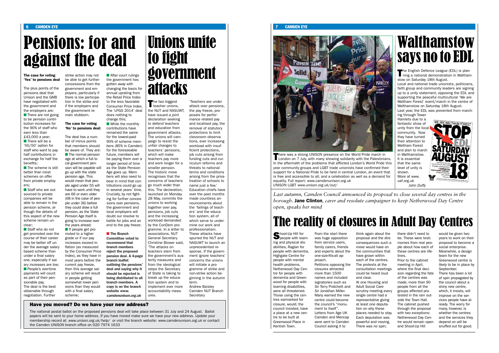6 CAMDEN EYE 7 CAMDEN EYE



#### Have you moved? Do we have your new address?

The national postal ballot on the proposed pensions deal will take place between 31 July and 24 August. Ballot papers will be sent to your home address. If you have moved make sure we have your new address. Update your membership record at: *www.unison.org.uk/help/* or visit the branch website: *www.camdenunison.org.uk* or contact the Camden UNISON branch office on 020 7974 1633

 $\blacksquare$  There will be a '50/50' option for staff who want to pay half contributions in exchange for half the benefits;

The case for voting 'Yes' to pensions deal

 $\blacksquare$  The scheme is still better than most schemes on offer from private employers;

Staff who are outsourced to private companies will be able to remain in the pension scheme, although the details of this aspect of the new scheme remain unclear;

The plus points of the pensions deal that Unison and the GMB have negotiated with the government and the employers are:  $\blacksquare$  There are not going to be pension contri-

bution increases for the 90% of staff who earn less than £43,000 a year;

Staff who do not get promoted over the course of their career may be better off under the average salary based scheme than under a final salary one, especially if salary increases are low; **n** People's overtime payments will count as part of their pensionable pay. The deal is the best obtainable through negotiation. Further

The deal has a number of minus points that members should be aware of. They are:  $\blacksquare$  The normal pension age at which a full local government pension will be payable will go up with the state pension age. This would mean that people aged under 55 will have to work until they are 66 or even older (68 in the case of people under 36) before they could draw a full pension, as the State Pension Age itself is going to increase over the years ahead;  $\blacksquare$  If people get pro-

 $\blacksquare$  After court rulings the government has gotten away with changing the basis for annual uprating from the Retail Price Index to the less favorable Consumer Price Index. The 'LPGS 2014' deal does nothing to change this;

#### $\blacksquare$  While the monthly contributions have

strike action may not be able to get further concessions from the government and employers, particularly if there is low participation in the strike and if the employers and the government remain stubborn.

#### **n** The Branch Committee voted to recommend that branch members

#### The case for voting 'No' to pensions deal:

The two biggest teacher unions, the NUT and NASUWT, have issued a joint declaration seeking to defend teachers and education from government attacks. The unions will campaign to resist the unfair changes to teachers' pensions, which will make teachers pay more and work longer for a smaller pension. The historic move recognises that the concerns of teachers go much wider than this. The declaration, launched on Monday 28 May, commits the unions to working together over pay, pensions, job cuts and the increasing workload demanded by the ConDem programme. In a letter to associations, NUT General Secretary Christine Blower said, 'The attacks on teachers stem from the government's austerity measures and from the ideological steps the Secretary of State is taking to break up the education system and to implement ever more accountability measures.

moted to a higher grade or if our pay increases exceed inflation (as measured by the Consumer Price Index), as they have in most years before the current pay freeze, then this average salary scheme will result in people getting somewhat lower pensions than they would with a final salary scheme;

Camden NUT Branch **Secretary** 

## Unions unite to fight government **attacks**

Shoot-Up Hill for<br>Speople with learning and physical disabilities, Raglan for people with dementia, Highgate Centre for people with mental health problems, Netherwood Day Centre for people with dementia and Greenwood for people with learning disabilities, were all threatened. Those using the centres earmarked for closure, would, the council insisted, have a place at a new centre to be built at Greenwood Place in Kentish Town.

remained the same for the lowest-paid 90% of scheme members (85% in Camden) for the foreseeable future, members will be paying them over a longer period of time as the State Pension Age goes up. Members will also need to bear in mind that contributions could go up in several years' time. Crucially, by not fighting for further concessions over pensions, the government and local employers will doubt our resolve to battle for jobs and an end to the pay freeze.

reject the proposed pension deal. A 4-page branch leaflet outlining the pensions' deal and saying why it should be rejected is being distributed to all branch members. A copy is on the branch website *www. camdenunison.org.uk*

## Pensions: for and against the deal

The English Defence League (EDL) is plan-<br>ning a national demonstration in Walthamstow on Saturday 18th August.

There was a strong UNISON presence on the World Pride march in London on 7 July, with many showing solidarity with the Palestinians. In the aftermath of the problems that afflicted London's World Pride this year community groups and LGBT trade unionists have confirmed their support for a National Pride to be held in central London, an event that is free and accessible to all, and a celebration as well as a demand for equality. Full report: *www.camdenunison.org.uk* UNISON LGBT *www.unison.org.uk/out/*

'Teachers are under attack over pensions, the pay freeze, proposals for performance related pay and localised pay, the removal of statutory protections to limit classroom observations, ever increasing workload with insufficient protections, job cuts arising from funding cuts and curriculum reforms and threats to national terms and conditions arising from the privatisation of schools to name just a few.' Education chiefs have over the past months made countless announcements about the 'failings of teachers' and the education system, all of which serve to undermine our work and professionalism. These attacks have spurred the NUT and NASUWT to launch an unprecedented response. If the government ignore teachers' concerns the unions will initiate a programme of strike and non-strike action beginning in the autumn term. Andrew Baisley

From the start there was huge opposition from service users, family carers, friends and experts about the one-size-fits-all approach. Petitions opposing the closures attracted more than 1500 names and included signatories such as Sir Terry Pratchett and Sir Jonathan Miller. Many warned the new centre could become

> ment to itself". Letters from Age UK Camden and Mencap were sent to Camden Council asking it to

the council's "monuand clear.

think again about the proposal and the dire consequences such a move would have on the communities that have grown within each of the centres. The protests at the consultation meetings could be heard loud At one Housing and Adult Social Care scrutiny meeting every single centre had a representative giving at least one deputation on why these places needed to stay. Each deputation was powerful and moving. There was no spin;

there didn't need to be. These were testimonies from real people about how each of these centres are lifelines.

Prior to the cabinet meeting in April, where the final decision regarding the fate of the centres was made, more than 90 people from all the groups affected protested in the rain outside the Town Hall. The cabinet pushed through the proposal with two exceptions: Netherwood Day Centre would remain open and Shoot-Up Hill

would be given two years to work on their proposal to become a social enterprise. Meanwhile, a design team for the new Greenwood centre is likely to be in place by September. There has been a lot of spin propagated by the council about a shiny new centre, which, it insists, will improve on the ser-

vices people have already. The worry for many, however, is whether the centres and the services they depend on will be snuffed out for good.

*Last autumn, Camden Council announced its proposal to close several day centres in the borough.* Jane Clinton*, carer and resolute campaigner to keep Netherwood Day Centre open, speaks her mind*

## The reality of closures in Adult Day Centres

Local and national trade unionists, politicians, faith group and community leaders are signing up to a unity statement, opposing the EDL and supporting the peaceful multicultural 'We are Waltham Forest' event/march in the centre of Walthamstow on Saturday 18th August. Last year, the EDL was prevented from march-

ing through Tower Hamlets due to a fantastic show of unity from the loca community. Now they have turned their attention to Waltham Forest and plan to march in Walthamstow. It is essential that the same level of unity is shown. More at www. uaf.org.uk *John Duffy*







Walthamstow says no to EDL